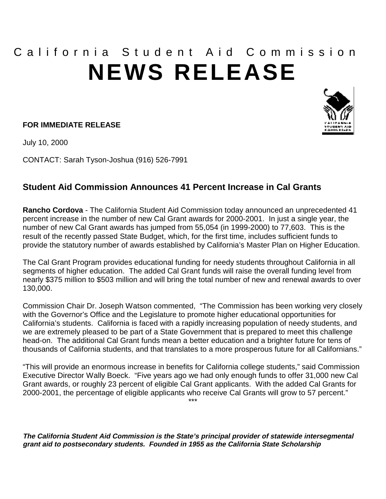## California Student Aid Commission **NEWS RELEASE**

## **FOR IMMEDIATE RELEASE**

July 10, 2000

CONTACT: Sarah Tyson-Joshua (916) 526-7991

## **Student Aid Commission Announces 41 Percent Increase in Cal Grants**

**Rancho Cordova** - The California Student Aid Commission today announced an unprecedented 41 percent increase in the number of new Cal Grant awards for 2000-2001. In just a single year, the number of new Cal Grant awards has jumped from 55,054 (in 1999-2000) to 77,603. This is the result of the recently passed State Budget, which, for the first time, includes sufficient funds to provide the statutory number of awards established by California's Master Plan on Higher Education.

The Cal Grant Program provides educational funding for needy students throughout California in all segments of higher education. The added Cal Grant funds will raise the overall funding level from nearly \$375 million to \$503 million and will bring the total number of new and renewal awards to over 130,000.

Commission Chair Dr. Joseph Watson commented, "The Commission has been working very closely with the Governor's Office and the Legislature to promote higher educational opportunities for California's students. California is faced with a rapidly increasing population of needy students, and we are extremely pleased to be part of a State Government that is prepared to meet this challenge head-on. The additional Cal Grant funds mean a better education and a brighter future for tens of thousands of California students, and that translates to a more prosperous future for all Californians."

"This will provide an enormous increase in benefits for California college students," said Commission Executive Director Wally Boeck. "Five years ago we had only enough funds to offer 31,000 new Cal Grant awards, or roughly 23 percent of eligible Cal Grant applicants. With the added Cal Grants for 2000-2001, the percentage of eligible applicants who receive Cal Grants will grow to 57 percent." \*\*\*

**The California Student Aid Commission is the State's principal provider of statewide intersegmental grant aid to postsecondary students. Founded in 1955 as the California State Scholarship**